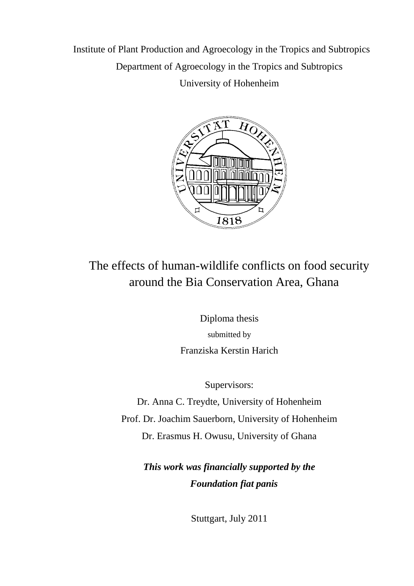Institute of Plant Production and Agroecology in the Tropics and Subtropics Department of Agroecology in the Tropics and Subtropics University of Hohenheim



## The effects of human-wildlife conflicts on food security around the Bia Conservation Area, Ghana

Diploma thesis submitted by Franziska Kerstin Harich

Supervisors:

Dr. Anna C. Treydte, University of Hohenheim Prof. Dr. Joachim Sauerborn, University of Hohenheim Dr. Erasmus H. Owusu, University of Ghana

> *This work was financially supported by the Foundation fiat panis*

> > Stuttgart, July 2011